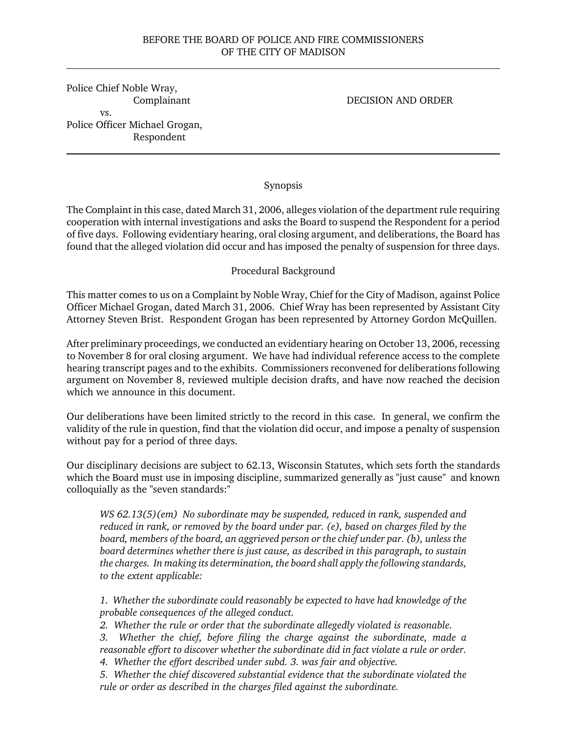#### BEFORE THE BOARD OF POLICE AND FIRE COMMISSIONERS OF THE CITY OF MADISON

Police Chief Noble Wray, Complainant vs. Police Officer Michael Grogan, Respondent

#### DECISION AND ORDER

#### Synopsis

The Complaint in this case, dated March 31, 2006, alleges violation of the department rule requiring cooperation with internal investigations and asks the Board to suspend the Respondent for a period of five days. Following evidentiary hearing, oral closing argument, and deliberations, the Board has found that the alleged violation did occur and has imposed the penalty of suspension for three days.

#### Procedural Background

This matter comes to us on a Complaint by Noble Wray, Chief for the City of Madison, against Police Officer Michael Grogan, dated March 31, 2006. Chief Wray has been represented by Assistant City Attorney Steven Brist. Respondent Grogan has been represented by Attorney Gordon McQuillen.

After preliminary proceedings, we conducted an evidentiary hearing on October 13, 2006, recessing to November 8 for oral closing argument. We have had individual reference access to the complete hearing transcript pages and to the exhibits. Commissioners reconvened for deliberations following argument on November 8, reviewed multiple decision drafts, and have now reached the decision which we announce in this document.

Our deliberations have been limited strictly to the record in this case. In general, we confirm the validity of the rule in question, find that the violation did occur, and impose a penalty of suspension without pay for a period of three days.

Our disciplinary decisions are subject to 62.13, Wisconsin Statutes, which sets forth the standards which the Board must use in imposing discipline, summarized generally as "just cause" and known colloquially as the "seven standards:"

*WS 62.13(5)(em) No subordinate may be suspended, reduced in rank, suspended and reduced in rank, or removed by the board under par. (e), based on charges filed by the board, members of the board, an aggrieved person or the chief under par. (b), unless the board determines whether there is just cause, as described in this paragraph, to sustain the charges. In making its determination, the board shall apply the following standards, to the extent applicable:*

*1. Whether the subordinate could reasonably be expected to have had knowledge of the probable consequences of the alleged conduct.*

*2. Whether the rule or order that the subordinate allegedly violated is reasonable.*

*3. Whether the chief, before filing the charge against the subordinate, made a reasonable effort to discover whether the subordinate did in fact violate a rule or order.*

*4. Whether the effort described under subd. 3. was fair and objective.*

*5. Whether the chief discovered substantial evidence that the subordinate violated the rule or order as described in the charges filed against the subordinate.*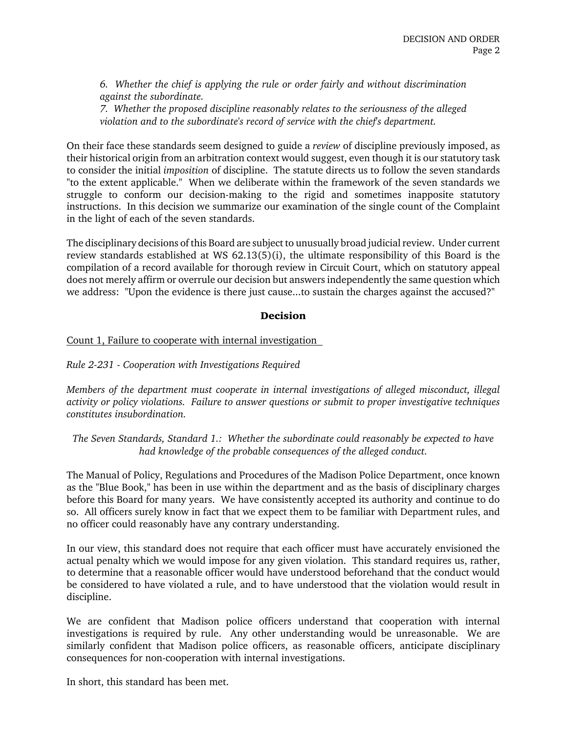*6. Whether the chief is applying the rule or order fairly and without discrimination against the subordinate.*

*7. Whether the proposed discipline reasonably relates to the seriousness of the alleged violation and to the subordinate's record of service with the chief's department.*

On their face these standards seem designed to guide a *review* of discipline previously imposed, as their historical origin from an arbitration context would suggest, even though it is our statutory task to consider the initial *imposition* of discipline. The statute directs us to follow the seven standards "to the extent applicable." When we deliberate within the framework of the seven standards we struggle to conform our decision-making to the rigid and sometimes inapposite statutory instructions. In this decision we summarize our examination of the single count of the Complaint in the light of each of the seven standards.

The disciplinary decisions of this Board are subject to unusually broad judicial review. Under current review standards established at WS 62.13(5)(i), the ultimate responsibility of this Board is the compilation of a record available for thorough review in Circuit Court, which on statutory appeal does not merely affirm or overrule our decision but answers independently the same question which we address: "Upon the evidence is there just cause...to sustain the charges against the accused?"

### **Decision**

### Count 1, Failure to cooperate with internal investigation

*Rule 2-231 - Cooperation with Investigations Required*

*Members of the department must cooperate in internal investigations of alleged misconduct, illegal activity or policy violations. Failure to answer questions or submit to proper investigative techniques constitutes insubordination.*

*The Seven Standards, Standard 1.: Whether the subordinate could reasonably be expected to have had knowledge of the probable consequences of the alleged conduct.*

The Manual of Policy, Regulations and Procedures of the Madison Police Department, once known as the "Blue Book," has been in use within the department and as the basis of disciplinary charges before this Board for many years. We have consistently accepted its authority and continue to do so. All officers surely know in fact that we expect them to be familiar with Department rules, and no officer could reasonably have any contrary understanding.

In our view, this standard does not require that each officer must have accurately envisioned the actual penalty which we would impose for any given violation. This standard requires us, rather, to determine that a reasonable officer would have understood beforehand that the conduct would be considered to have violated a rule, and to have understood that the violation would result in discipline.

We are confident that Madison police officers understand that cooperation with internal investigations is required by rule. Any other understanding would be unreasonable. We are similarly confident that Madison police officers, as reasonable officers, anticipate disciplinary consequences for non-cooperation with internal investigations.

In short, this standard has been met.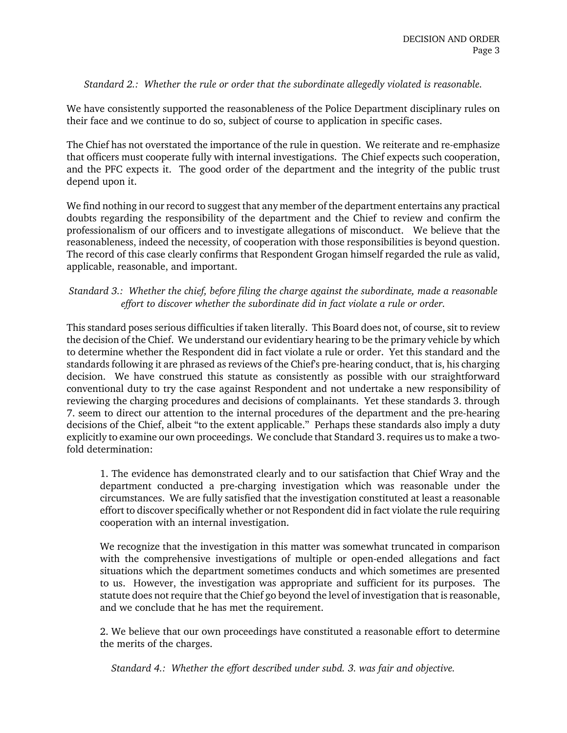### *Standard 2.: Whether the rule or order that the subordinate allegedly violated is reasonable.*

We have consistently supported the reasonableness of the Police Department disciplinary rules on their face and we continue to do so, subject of course to application in specific cases.

The Chief has not overstated the importance of the rule in question. We reiterate and re-emphasize that officers must cooperate fully with internal investigations. The Chief expects such cooperation, and the PFC expects it. The good order of the department and the integrity of the public trust depend upon it.

We find nothing in our record to suggest that any member of the department entertains any practical doubts regarding the responsibility of the department and the Chief to review and confirm the professionalism of our officers and to investigate allegations of misconduct. We believe that the reasonableness, indeed the necessity, of cooperation with those responsibilities is beyond question. The record of this case clearly confirms that Respondent Grogan himself regarded the rule as valid, applicable, reasonable, and important.

# *Standard 3.: Whether the chief, before filing the charge against the subordinate, made a reasonable effort to discover whether the subordinate did in fact violate a rule or order.*

This standard poses serious difficulties if taken literally. This Board does not, of course, sit to review the decision of the Chief. We understand our evidentiary hearing to be the primary vehicle by which to determine whether the Respondent did in fact violate a rule or order. Yet this standard and the standards following it are phrased as reviews of the Chief's pre-hearing conduct, that is, his charging decision. We have construed this statute as consistently as possible with our straightforward conventional duty to try the case against Respondent and not undertake a new responsibility of reviewing the charging procedures and decisions of complainants. Yet these standards 3. through 7. seem to direct our attention to the internal procedures of the department and the pre-hearing decisions of the Chief, albeit "to the extent applicable." Perhaps these standards also imply a duty explicitly to examine our own proceedings. We conclude that Standard 3. requires us to make a twofold determination:

1. The evidence has demonstrated clearly and to our satisfaction that Chief Wray and the department conducted a pre-charging investigation which was reasonable under the circumstances. We are fully satisfied that the investigation constituted at least a reasonable effort to discover specifically whether or not Respondent did in fact violate the rule requiring cooperation with an internal investigation.

We recognize that the investigation in this matter was somewhat truncated in comparison with the comprehensive investigations of multiple or open-ended allegations and fact situations which the department sometimes conducts and which sometimes are presented to us. However, the investigation was appropriate and sufficient for its purposes. The statute does not require that the Chief go beyond the level of investigation that is reasonable, and we conclude that he has met the requirement.

2. We believe that our own proceedings have constituted a reasonable effort to determine the merits of the charges.

*Standard 4.: Whether the effort described under subd. 3. was fair and objective.*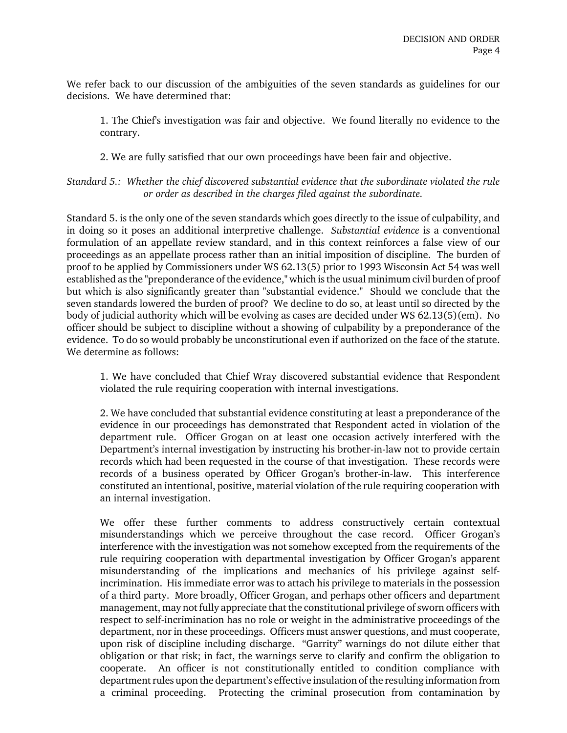We refer back to our discussion of the ambiguities of the seven standards as guidelines for our decisions. We have determined that:

1. The Chief's investigation was fair and objective. We found literally no evidence to the contrary.

2. We are fully satisfied that our own proceedings have been fair and objective.

*Standard 5.: Whether the chief discovered substantial evidence that the subordinate violated the rule or order as described in the charges filed against the subordinate.*

Standard 5. is the only one of the seven standards which goes directly to the issue of culpability, and in doing so it poses an additional interpretive challenge. *Substantial evidence* is a conventional formulation of an appellate review standard, and in this context reinforces a false view of our proceedings as an appellate process rather than an initial imposition of discipline. The burden of proof to be applied by Commissioners under WS 62.13(5) prior to 1993 Wisconsin Act 54 was well established as the "preponderance of the evidence," which is the usual minimum civil burden of proof but which is also significantly greater than "substantial evidence." Should we conclude that the seven standards lowered the burden of proof? We decline to do so, at least until so directed by the body of judicial authority which will be evolving as cases are decided under WS 62.13(5)(em). No officer should be subject to discipline without a showing of culpability by a preponderance of the evidence. To do so would probably be unconstitutional even if authorized on the face of the statute. We determine as follows:

1. We have concluded that Chief Wray discovered substantial evidence that Respondent violated the rule requiring cooperation with internal investigations.

2. We have concluded that substantial evidence constituting at least a preponderance of the evidence in our proceedings has demonstrated that Respondent acted in violation of the department rule. Officer Grogan on at least one occasion actively interfered with the Department's internal investigation by instructing his brother-in-law not to provide certain records which had been requested in the course of that investigation. These records were records of a business operated by Officer Grogan's brother-in-law. This interference constituted an intentional, positive, material violation of the rule requiring cooperation with an internal investigation.

We offer these further comments to address constructively certain contextual misunderstandings which we perceive throughout the case record. Officer Grogan's interference with the investigation was not somehow excepted from the requirements of the rule requiring cooperation with departmental investigation by Officer Grogan's apparent misunderstanding of the implications and mechanics of his privilege against selfincrimination. His immediate error was to attach his privilege to materials in the possession of a third party. More broadly, Officer Grogan, and perhaps other officers and department management, may not fully appreciate that the constitutional privilege of sworn officers with respect to self-incrimination has no role or weight in the administrative proceedings of the department, nor in these proceedings. Officers must answer questions, and must cooperate, upon risk of discipline including discharge. "Garrity" warnings do not dilute either that obligation or that risk; in fact, the warnings serve to clarify and confirm the obligation to cooperate. An officer is not constitutionally entitled to condition compliance with department rules upon the department's effective insulation of the resulting information from a criminal proceeding. Protecting the criminal prosecution from contamination by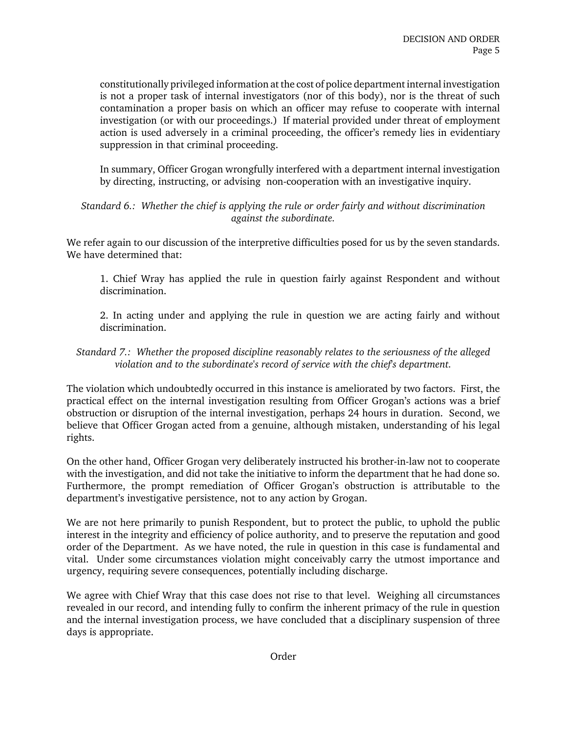constitutionally privileged information at the cost of police department internal investigation is not a proper task of internal investigators (nor of this body), nor is the threat of such contamination a proper basis on which an officer may refuse to cooperate with internal investigation (or with our proceedings.) If material provided under threat of employment action is used adversely in a criminal proceeding, the officer's remedy lies in evidentiary suppression in that criminal proceeding.

In summary, Officer Grogan wrongfully interfered with a department internal investigation by directing, instructing, or advising non-cooperation with an investigative inquiry.

*Standard 6.: Whether the chief is applying the rule or order fairly and without discrimination against the subordinate.*

We refer again to our discussion of the interpretive difficulties posed for us by the seven standards. We have determined that:

1. Chief Wray has applied the rule in question fairly against Respondent and without discrimination.

2. In acting under and applying the rule in question we are acting fairly and without discrimination.

# *Standard 7.: Whether the proposed discipline reasonably relates to the seriousness of the alleged violation and to the subordinate's record of service with the chief's department.*

The violation which undoubtedly occurred in this instance is ameliorated by two factors. First, the practical effect on the internal investigation resulting from Officer Grogan's actions was a brief obstruction or disruption of the internal investigation, perhaps 24 hours in duration. Second, we believe that Officer Grogan acted from a genuine, although mistaken, understanding of his legal rights.

On the other hand, Officer Grogan very deliberately instructed his brother-in-law not to cooperate with the investigation, and did not take the initiative to inform the department that he had done so. Furthermore, the prompt remediation of Officer Grogan's obstruction is attributable to the department's investigative persistence, not to any action by Grogan.

We are not here primarily to punish Respondent, but to protect the public, to uphold the public interest in the integrity and efficiency of police authority, and to preserve the reputation and good order of the Department. As we have noted, the rule in question in this case is fundamental and vital. Under some circumstances violation might conceivably carry the utmost importance and urgency, requiring severe consequences, potentially including discharge.

We agree with Chief Wray that this case does not rise to that level. Weighing all circumstances revealed in our record, and intending fully to confirm the inherent primacy of the rule in question and the internal investigation process, we have concluded that a disciplinary suspension of three days is appropriate.